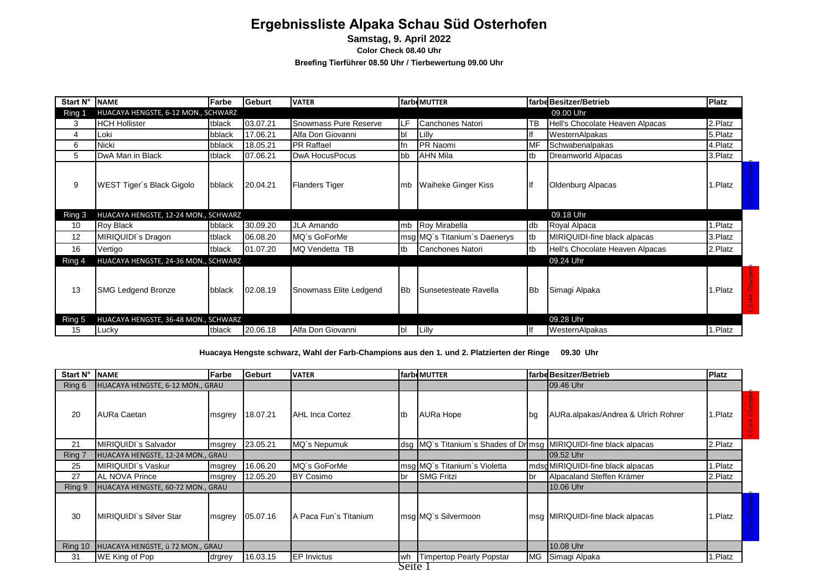# **Ergebnissliste Alpaka Schau Süd Osterhofen**

**Samstag, 9. April 2022**

**Color Check 08.40 Uhr**

**Breefing Tierführer 08.50 Uhr / Tierbewertung 09.00 Uhr**

| Start N° | <b>NAME</b>                          | Farbe  | lGeburt  | <b>VATER</b>           |           | farbeMUTTER                  |           | farbd Besitzer/Betrieb          | <b>Platz</b> |  |
|----------|--------------------------------------|--------|----------|------------------------|-----------|------------------------------|-----------|---------------------------------|--------------|--|
| Ring 1   | HUACAYA HENGSTE, 6-12 MON., SCHWARZ  |        |          |                        |           |                              |           | 09.00 Uhr                       |              |  |
| 3        | <b>HCH Hollister</b>                 | tblack | 03.07.21 | Snowmass Pure Reserve  | ILF       | Canchones Natori             | TB        | Hell's Chocolate Heaven Alpacas | 2.Platz      |  |
| 4        | Loki                                 | bblack | 17.06.21 | Alfa Don Giovanni      | bl        | Lilly                        |           | WesternAlpakas                  | 5.Platz      |  |
| 6        | Nicki                                | bblack | 18.05.21 | <b>PR Raffael</b>      | fn        | PR Naomi                     | MF        | Schwabenalpakas                 | 4.Platz      |  |
| 5        | DwA Man in Black                     | tblack | 07.06.21 | <b>DwA HocusPocus</b>  | bb        | <b>AHN Mila</b>              | tb        | Dreamworld Alpacas              | 3.Platz      |  |
| 9        | WEST Tiger's Black Gigolo            | bblack | 20.04.21 | <b>Flanders Tiger</b>  | Imb       | <b>Waiheke Ginger Kiss</b>   | lf        | Oldenburg Alpacas               | .Platz       |  |
| Ring 3   | HUACAYA HENGSTE, 12-24 MON., SCHWARZ |        |          |                        |           |                              |           | 09.18 Uhr                       |              |  |
| 10       | Roy Black                            | bblack | 30.09.20 | <b>JLA Amando</b>      |           | mb Roy Mirabella             | db        | Royal Alpaca                    | .Platz       |  |
| 12       | MIRIQUIDI`s Dragon                   | tblack | 06.08.20 | MQ's GoForMe           |           | msg MQ's Titanium's Daenerys | tb        | MIRIQUIDI-fine black alpacas    | 3.Platz      |  |
| 16       | Vertigo                              | tblack | 01.07.20 | MQ Vendetta TB         | tb        | Canchones Natori             | tb        | Hell's Chocolate Heaven Alpacas | 2.Platz      |  |
| Ring 4   | HUACAYA HENGSTE, 24-36 MON., SCHWARZ |        |          |                        |           |                              |           | 09.24 Uhr                       |              |  |
| 13       | <b>SMG Ledgend Bronze</b>            | bblack | 02.08.19 | Snowmass Elite Ledgend | <b>Bb</b> | Sunsetesteate Ravella        | <b>Bb</b> | Simagi Alpaka                   | .Platz       |  |
| Ring 5   | HUACAYA HENGSTE, 36-48 MON., SCHWARZ |        |          |                        |           |                              |           | 09.28 Uhr                       |              |  |
| 15       | Lucky                                | tblack | 20.06.18 | Alfa Don Giovanni      | <b>bl</b> | Lilly                        |           | WesternAlpakas                  | 1.Platz      |  |

**Huacaya Hengste schwarz, Wahl der Farb-Champions aus den 1. und 2. Platzierten der Ringe 09.30 Uhr**

| Start N° | <b>NAME</b>                       | Farbe  | Geburt   | <b>VATER</b>          |             | farbeMUTTER                                                       |           | farbe Besitzer/Betrieb              | <b>Platz</b> |  |
|----------|-----------------------------------|--------|----------|-----------------------|-------------|-------------------------------------------------------------------|-----------|-------------------------------------|--------------|--|
| Ring 6   | HUACAYA HENGSTE, 6-12 MON., GRAU  |        |          |                       |             |                                                                   |           | 09.46 Uhr                           |              |  |
| 20       | AURa Caetan                       | msgrey | 18.07.21 | AHL Inca Cortez       | <b>I</b> tb | AURa Hope                                                         | lbg       | AURa.alpakas/Andrea & Ulrich Rohrer | .Platz       |  |
| 21       | MIRIQUIDI`s Salvador              | msgrey | 23.05.21 | MQ's Nepumuk          |             | dsg MQ's Titanium's Shades of Drimsg MIRIQUIDI-fine black alpacas |           |                                     | 2.Platz      |  |
| Ring 7   | HUACAYA HENGSTE, 12-24 MON., GRAU |        |          |                       |             |                                                                   |           | 09.52 Uhr                           |              |  |
| 25       | MIRIQUIDI`s Vaskur                | msgrey | 16.06.20 | MQ's GoForMe          |             | msg MQ's Titanium's Violetta                                      |           | mdsd MIRIQUIDI-fine black alpacas   | .Platz       |  |
| 27       | <b>AL NOVA Prince</b>             | msgrey | 12.05.20 | <b>BY Cosimo</b>      | <b>br</b>   | <b>SMG Fritzi</b>                                                 | br        | Alpacaland Steffen Krämer           | 2.Platz      |  |
| Ring 9   | HUACAYA HENGSTE, 60-72 MON., GRAU |        |          |                       |             |                                                                   |           | 10.06 Uhr                           |              |  |
| 30       | MIRIQUIDI`s Silver Star           | msgrey | 05.07.16 | A Paca Fun's Titanium |             | msg MQ's Silvermoon                                               |           | msg MIRIQUIDI-fine black alpacas    | .Platz       |  |
| Ring 10  | HUACAYA HENGSTE, ü 72 MON., GRAU  |        |          |                       |             |                                                                   |           | 10.08 Uhr                           |              |  |
| 31       | WE King of Pop                    | drgrey | 16.03.15 | <b>EP Invictus</b>    | lwh         | Timpertop Pearly Popstar                                          | <b>MG</b> | Simagi Alpaka                       | .Platz       |  |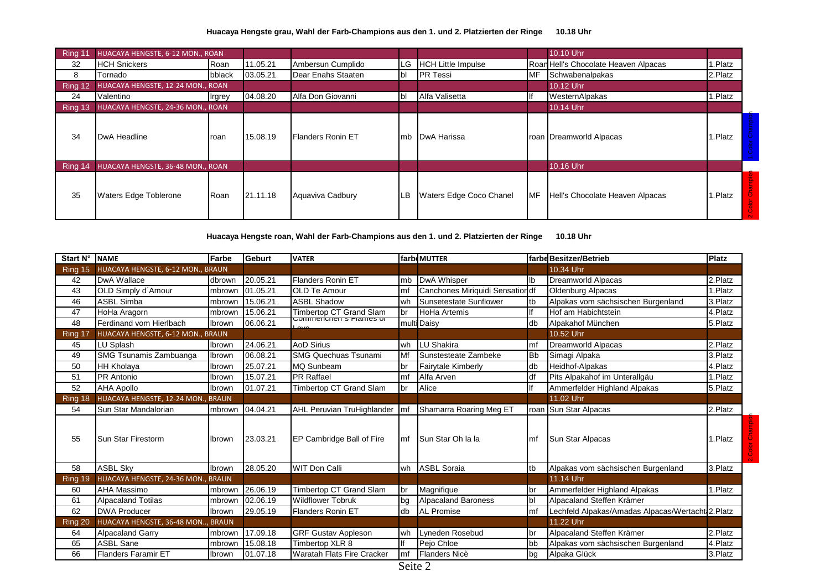### **Huacaya Hengste grau, Wahl der Farb-Champions aus den 1. und 2. Platzierten der Ringe 10.18 Uhr**

| Ring 11 | HUACAYA HENGSTE, 6-12 MON., ROAN         |                |          |                          |      |                           |           | 10.10 Uhr                            |         |  |
|---------|------------------------------------------|----------------|----------|--------------------------|------|---------------------------|-----------|--------------------------------------|---------|--|
| 32      | <b>HCH Snickers</b>                      | Roan           | 11.05.21 | Ambersun Cumplido        | ILG. | <b>HCH Little Impulse</b> |           | Roan Hell's Chocolate Heaven Alpacas | 1.Platz |  |
| 8       | Tornado                                  | bblack         | 03.05.21 | Dear Enahs Staaten       | Ibl  | <b>PR</b> Tessi           | <b>MF</b> | Schwabenalpakas                      | 2.Platz |  |
| Ring 12 | HUACAYA HENGSTE, 12-24 MON., ROAN        |                |          |                          |      |                           |           | 10.12 Uhr                            |         |  |
| 24      | Valentino                                | <b>I</b> rgrey | 04.08.20 | Alfa Don Giovanni        | Ibl  | Alfa Valisetta            |           | <b>WesternAlpakas</b>                | 1.Platz |  |
| Ring 13 | HUACAYA HENGSTE, 24-36 MON., ROAN        |                |          |                          |      |                           |           | 10.14 Uhr                            |         |  |
| 34      | DwA Headline                             | roan           | 15.08.19 | <b>Flanders Ronin ET</b> | Imb  | DwA Harissa               |           | roan Dreamworld Alpacas              | 1.Platz |  |
| Ring 14 | <b>HUACAYA HENGSTE, 36-48 MON., ROAN</b> |                |          |                          |      |                           |           | 10.16 Uhr                            |         |  |
| 35      | Waters Edge Toblerone                    | <b>Roan</b>    | 21.11.18 | Aquaviva Cadbury         | ILB  | Waters Edge Coco Chanel   | IMF       | Hell's Chocolate Heaven Alpacas      | 1.Platz |  |

**Huacaya Hengste roan, Wahl der Farb-Champions aus den 1. und 2. Platzierten der Ringe 10.18 Uhr**

| Start N° NAME |                                    | Farbe  | Geburt   | <b>VATER</b>                      |             | farb MUTTER                      |                | farbe Besitzer/Betrieb                           | <b>Platz</b> |
|---------------|------------------------------------|--------|----------|-----------------------------------|-------------|----------------------------------|----------------|--------------------------------------------------|--------------|
| Ring 15       | HUACAYA HENGSTE, 6-12 MON., BRAUN  |        |          |                                   |             |                                  |                | 10.34 Uhr                                        |              |
| 42            | DwA Wallace                        | dbrown | 20.05.21 | <b>Flanders Ronin ET</b>          | mb          | DwA Whisper                      | lb             | <b>Dreamworld Alpacas</b>                        | 2.Platz      |
| 43            | OLD Simply d'Amour                 | mbrown | 01.05.21 | <b>OLD Te Amour</b>               | mf          | Canchones Miriquidi Sensation df |                | <b>Oldenburg Alpacas</b>                         | .Platz       |
| 46            | <b>ASBL Simba</b>                  | mbrown | 15.06.21 | <b>ASBL Shadow</b>                | wh          | Sunsetestate Sunflower           | ltb            | Alpakas vom sächsischen Burgenland               | 3.Platz      |
| 47            | HoHa Aragorn                       | mbrown | 15.06.21 | Timbertop CT Grand Slam           | <b>br</b>   | <b>HoHa Artemis</b>              | lf             | Hof am Habichtstein                              | 4.Platz      |
| 48            | Ferdinand vom Hierlbach            | Ibrown | 06.06.21 | <u>Commenchents Flames or</u>     |             | multi Daisy                      | db             | Alpakahof München                                | 5.Platz      |
| Ring 17       | HUACAYA HENGSTE, 6-12 MON., BRAUN  |        |          |                                   |             |                                  |                | 10.52 Uhr                                        |              |
| 45            | LU Splash                          | Ibrown | 24.06.21 | <b>AoD Sirius</b>                 | wh          | LU Shakira                       | mf             | Dreamworld Alpacas                               | 2.Platz      |
| 49            | SMG Tsunamis Zambuanga             | Ibrown | 06.08.21 | <b>SMG Quechuas Tsunami</b>       | Mf          | Sunstesteate Zambeke             | B <sub>b</sub> | Simagi Alpaka                                    | 3.Platz      |
| 50            | <b>HH Kholaya</b>                  | Ibrown | 25.07.21 | <b>MQ Sunbeam</b>                 | br          | Fairytale Kimberly               | db             | Heidhof-Alpakas                                  | 4.Platz      |
| 51            | <b>PR</b> Antonio                  | Ibrown | 15.07.21 | <b>PR Raffael</b>                 | mf          | Alfa Arven                       | df             | Pits Alpakahof im Unterallgäu                    | 1.Platz      |
| 52            | <b>AHA Apollo</b>                  | Ibrown | 01.07.21 | Timbertop CT Grand Slam           | <b>I</b> br | Alice                            |                | Ammerfelder Highland Alpakas                     | 5.Platz      |
| Ring 18       | HUACAYA HENGSTE, 12-24 MON., BRAUN |        |          |                                   |             |                                  |                | 11.02 Uhr                                        |              |
| 54            | Sun Star Mandalorian               | mbrown | 04.04.21 | AHL Peruvian TruHighlander        | Imf         | Shamarra Roaring Meg ET          |                | roan Sun Star Alpacas                            | 2.Platz      |
| 55            | Sun Star Firestorm                 | Ibrown | 23.03.21 | EP Cambridge Ball of Fire         | Imf         | <b>Sun Star Oh la la</b>         | mf             | Sun Star Alpacas                                 | .Platz       |
| 58            | <b>ASBL Sky</b>                    | Ibrown | 28.05.20 | <b>WIT Don Calli</b>              | wh          | <b>ASBL Soraia</b>               | tb             | Alpakas vom sächsischen Burgenland               | 3.Platz      |
| Ring 19       | HUACAYA HENGSTE, 24-36 MON., BRAUN |        |          |                                   |             |                                  |                | 11.14 Uhr                                        |              |
| 60            | AHA Massimo                        | mbrown | 26.06.19 | Timbertop CT Grand Slam           | <b>I</b> br | Magnifique                       | br             | Ammerfelder Highland Alpakas                     | 1.Platz      |
| 61            | <b>Alpacaland Totilas</b>          | mbrown | 02.06.19 | <b>Wildflower Tobruk</b>          | bg          | <b>Alpacaland Baroness</b>       | bl             | Alpacaland Steffen Krämer                        |              |
| 62            | <b>DWA Producer</b>                | Ibrown | 29.05.19 | <b>Flanders Ronin ET</b>          | db          | <b>AL Promise</b>                | mf             | Lechfeld Alpakas/Amadas Alpacas/Wertacht 2.Platz |              |
| Ring 20       | HUACAYA HENGSTE, 36-48 MON, BRAUN  |        |          |                                   |             |                                  |                | 11.22 Uhr                                        |              |
| 64            | <b>Alpacaland Garry</b>            | mbrown | 17.09.18 | <b>GRF Gustav Appleson</b>        | lwh         | Lyneden Rosebud                  | br             | Alpacaland Steffen Krämer                        | 2.Platz      |
| 65            | <b>ASBL Sane</b>                   | mbrown | 15.08.18 | Timbertop XLR 8                   | If          | Pejo Chloe                       | bb             | Alpakas vom sächsischen Burgenland               | 4.Platz      |
| 66            | <b>Flanders Faramir ET</b>         | Ibrown | 01.07.18 | <b>Waratah Flats Fire Cracker</b> | mf          | <b>Flanders Nicè</b>             | bg             | Alpaka Glück                                     | 3.Platz      |

Seite 2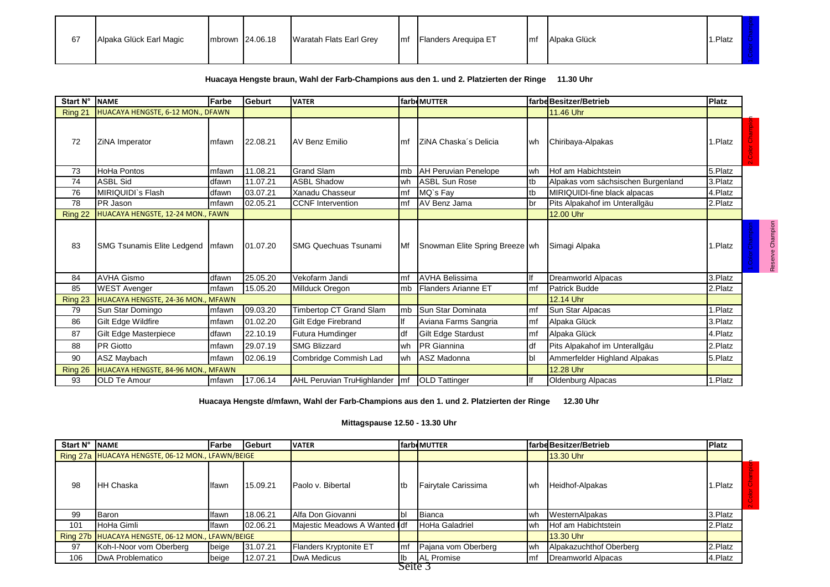| 67 | Alpaka Glück Earl Magic | $Im$ brown $124.06.18$ | Waratah Flats Earl Grey | Imf | <b>Flanders Arequipa ET</b> | Imf | Alpaka Glück | Platz |  |
|----|-------------------------|------------------------|-------------------------|-----|-----------------------------|-----|--------------|-------|--|
|    |                         |                        |                         |     |                             |     |              |       |  |

## **Huacaya Hengste braun, Wahl der Farb-Champions aus den 1. und 2. Platzierten der Ringe 11.30 Uhr**

| Start $N^{\circ}$ | Farbe<br><b>NAME</b>               |        | Geburt   | <b>VATER</b>                    |           | <b>farbeMUTTER</b>             |     | farbe Besitzer/Betrieb             | <b>Platz</b> |                         |
|-------------------|------------------------------------|--------|----------|---------------------------------|-----------|--------------------------------|-----|------------------------------------|--------------|-------------------------|
| Ring 21           | HUACAYA HENGSTE, 6-12 MON., DFAWN  |        |          |                                 |           |                                |     | 11.46 Uhr                          |              |                         |
| 72                | ZiNA Imperator                     | mfawn  | 22.08.21 | <b>AV Benz Emilio</b>           | lmf       | IZINA Chaska's Delicia         | lwh | Chiribaya-Alpakas                  | 1.Platz      | $\overline{\mathbf{c}}$ |
| 73                | <b>HoHa Pontos</b>                 | mfawn  | 11.08.21 | <b>Grand Slam</b>               | mb        | <b>AH Peruvian Penelope</b>    | wh  | Hof am Habichtstein                | 5.Platz      |                         |
| 74                | <b>ASBL Sid</b>                    | dfawn  | 11.07.21 | <b>ASBL Shadow</b>              | wh        | ASBL Sun Rose                  | tb  | Alpakas vom sächsischen Burgenland | 3.Platz      |                         |
| 76                | MIRIQUIDI`s Flash                  | dfawn  | 03.07.21 | Xanadu Chasseur                 | mf        | MQ's Fay                       | tb  | MIRIQUIDI-fine black alpacas       | 4.Platz      |                         |
| 78                | PR Jason                           | mfawn  | 02.05.21 | <b>CCNF</b> Intervention        | mf        | AV Benz Jama                   | br  | Pits Alpakahof im Unterallgäu      | 2.Platz      |                         |
| Ring 22           | HUACAYA HENGSTE, 12-24 MON., FAWN  |        |          |                                 |           |                                |     | 12.00 Uhr                          |              |                         |
| 83                | <b>SMG Tsunamis Elite Ledgend</b>  | mfawn  | 01.07.20 | <b>SMG Quechuas Tsunami</b>     | <b>Mf</b> | Snowman Elite Spring Breeze wh |     | Simagi Alpaka                      | 1.Platz      |                         |
| 84                | <b>AVHA Gismo</b>                  | dfawn  | 25.05.20 | Vekofarm Jandi                  | mf        | <b>AVHA Belissima</b>          |     | Dreamworld Alpacas                 | 3.Platz      |                         |
| 85                | <b>WEST Avenger</b>                | Imfawn | 15.05.20 | Millduck Oregon                 | mb        | Flanders Arianne ET            | Imf | Patrick Budde                      | 2.Platz      |                         |
| Ring 23           | HUACAYA HENGSTE, 24-36 MON., MFAWN |        |          |                                 |           |                                |     | 12.14 Uhr                          |              |                         |
| 79                | Sun Star Domingo                   | mfawn  | 09.03.20 | Timbertop CT Grand Slam         | mb        | Sun Star Dominata              | Imf | Sun Star Alpacas                   | 1.Platz      |                         |
| 86                | Gilt Edge Wildfire                 | mfawn  | 01.02.20 | Gilt Edge Firebrand             |           | Aviana Farms Sangria           | mf  | Alpaka Glück                       | 3.Platz      |                         |
| 87                | Gilt Edge Masterpiece              | dfawn  | 22.10.19 | Futura Humdinger                | df        | <b>Gilt Edge Stardust</b>      | Imf | Alpaka Glück                       | 4.Platz      |                         |
| 88                | <b>PR</b> Giotto                   | mfawn  | 29.07.19 | <b>SMG Blizzard</b>             | wh        | <b>IPR</b> Giannina            | df  | Pits Alpakahof im Unterallgäu      | 2.Platz      |                         |
| 90                | ASZ Maybach                        | Imfawn | 02.06.19 | Combridge Commish Lad           | wh        | ASZ Madonna                    | bl  | Ammerfelder Highland Alpakas       | 5.Platz      |                         |
| Ring 26           | HUACAYA HENGSTE, 84-96 MON., MFAWN |        |          |                                 |           |                                |     | 12.28 Uhr                          |              |                         |
| 93                | <b>OLD Te Amour</b>                | mfawn  | 17.06.14 | AHL Peruvian TruHighlander   mf |           | <b>OLD</b> Tattinger           |     | Oldenburg Alpacas                  | 1.Platz      |                         |

Reserve Champion

Reserve Champion

**Huacaya Hengste d/mfawn, Wahl der Farb-Champions aus den 1. und 2. Platzierten der Ringe 12.30 Uhr**

### **Mittagspause 12.50 - 13.30 Uhr**

| Start N° | <b>INAME</b>                                      | Farbe | <b>IGeburt</b> | <b>VATER</b>                  |     | <b>farbeMUTTER</b>    |     | farbe Besitzer/Betrieb  | <b>Platz</b> |
|----------|---------------------------------------------------|-------|----------------|-------------------------------|-----|-----------------------|-----|-------------------------|--------------|
|          | Ring 27a HUACAYA HENGSTE, 06-12 MON., LFAWN/BEIGE |       |                |                               |     |                       |     | <b>13.30 Uhr</b>        |              |
| 98       | <b>IHH Chaska</b>                                 | lfawn | 15.09.21       | Paolo v. Bibertal             | ltb | Fairytale Carissima   | Iwh | Heidhof-Alpakas         | r.Platz      |
| 99       | <b>I</b> Baron                                    | lfawn | 18.06.21       | Alfa Don Giovanni             |     | Bianca                | wh  | WesternAlpakas          | 3.Platz      |
| 101      | HoHa Gimli                                        | lfawn | 02.06.21       | Majestic Meadows A Wanted Idf |     | <b>HoHa Galadriel</b> | wh  | Hof am Habichtstein     | 2.Platz      |
| Ring 27b | HUACAYA HENGSTE, 06-12 MON., LFAWN/BEIGE          |       |                |                               |     |                       |     | <b>13.30 Uhr</b>        |              |
| 97       | Koh-I-Noor vom Oberberg                           | beige | 31.07.21       | Flanders Kryptonite ET        | Imf | Pajana vom Oberberg   | lwh | Alpakazuchthof Oberberg | 2.Platz      |
| 106      | DwA Problematico                                  | beige | 12.07.21       | DwA Medicus                   | lb  | <b>AL Promise</b>     | Imf | Dreamworld Alpacas      | 4.Platz      |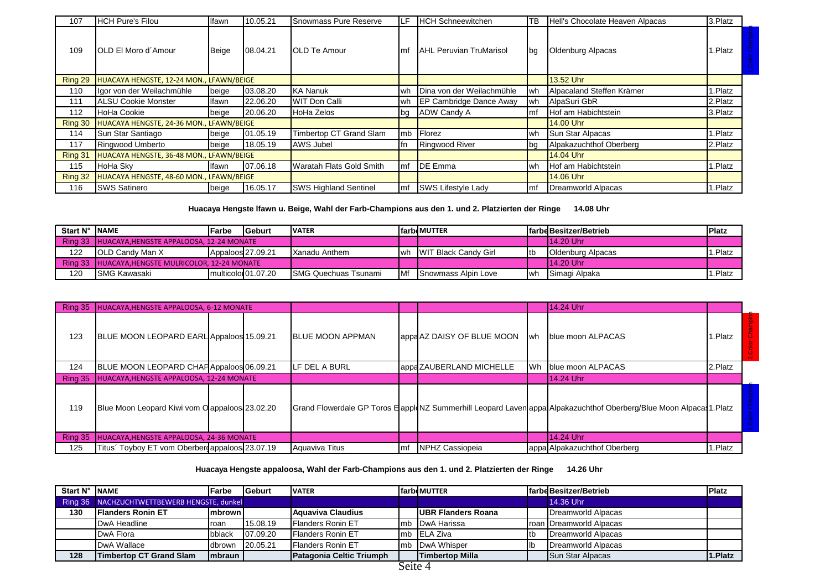| 107     | <b>HCH Pure's Filou</b>                         | Ifawn        | 10.05.21 | Snowmass Pure Reserve        | LF.  | <b>HCH Schneewitchen</b>       | TB          | Hell's Chocolate Heaven Alpacas | 3.Platz |
|---------|-------------------------------------------------|--------------|----------|------------------------------|------|--------------------------------|-------------|---------------------------------|---------|
| 109     | IOLD EI Moro d'Amour                            | Beige        | 08.04.21 | <b>OLD Te Amour</b>          | Imf  | <b>AHL Peruvian TruMarisol</b> | <b>I</b> bq | Oldenburg Alpacas               | .Platz  |
| Ring 29 | <b>HUACAYA HENGSTE, 12-24 MON., LFAWN/BEIGE</b> |              |          |                              |      |                                |             | 13.52 Uhr                       |         |
| 110     | Ilgor von der Weilachmühle                      | beige        | 03.08.20 | <b>KA Nanuk</b>              | wh   | Dina von der Weilachmühle      | lwh         | Alpacaland Steffen Krämer       | 1.Platz |
| 111     | <b>ALSU Cookie Monster</b>                      | lfawn        | 22.06.20 | <b>WIT Don Calli</b>         | wh   | <b>EP Cambridge Dance Away</b> | <b>I</b> wh | AlpaSuri GbR                    | 2.Platz |
| 112     | HoHa Cookie                                     | beige        | 20.06.20 | HoHa Zelos                   | bq   | <b>ADW Candy A</b>             | Imf         | Hof am Habichtstein             | 3.Platz |
| Ring 30 | HUACAYA HENGSTE, 24-36 MON., LFAWN/BEIGE        |              |          |                              |      |                                |             | <b>14.00 Uhr</b>                |         |
| 114     | Sun Star Santiago                               | beige        | 01.05.19 | Timbertop CT Grand Slam      | lmb. | Florez                         | lwh.        | Sun Star Alpacas                | I.Platz |
| 117     | Ringwood Umberto                                | <b>beige</b> | 18.05.19 | AWS Jubel                    |      | <b>Ringwood River</b>          | <b>I</b> bg | Alpakazuchthof Oberberg         | 2.Platz |
| Ring 31 | HUACAYA HENGSTE, 36-48 MON., LFAWN/BEIGE        |              |          |                              |      |                                |             | 14.04 Uhr                       |         |
| 115     | HoHa Skv                                        | lfawn        | 07.06.18 | Waratah Flats Gold Smith     | lmf  | <b>DE Emma</b>                 | lwh.        | <b>Hof am Habichtstein</b>      | 1.Platz |
| Ring 32 | HUACAYA HENGSTE, 48-60 MON., LFAWN/BEIGE        |              |          |                              |      |                                |             | 14.06 Uhr                       |         |
| 116     | <b>SWS Satinero</b>                             | beige        | 16.05.17 | <b>SWS Highland Sentinel</b> | lmf  | <b>SWS Lifestyle Lady</b>      | Imf         | Dreamworld Alpacas              | 1.Platz |

**Huacaya Hengste lfawn u. Beige, Wahl der Farb-Champions aus den 1. und 2. Platzierten der Ringe 14.08 Uhr**

| Start N° | <b>INAME</b>                                      | lFarbe            | <b>IGeburt</b>                  | <b>IVATER</b>                |            | <b>IfarbeMUTTER</b>            |              | <b>Ifarbe Besitzer/Betrieb</b> | <b>IPlatz</b> |
|----------|---------------------------------------------------|-------------------|---------------------------------|------------------------------|------------|--------------------------------|--------------|--------------------------------|---------------|
|          | Ring 33 HUACAYA.HENGSTE APPALOOSA, 12-24 MONATE   |                   |                                 |                              |            |                                |              | $114.20$ Uhr                   |               |
| 122      | <b>IOLD Candy Man X</b>                           | Appaloos 27.09.21 |                                 | Xanadu Anthem                |            | wh <b>WIT Black Candy Girl</b> | Itb          | <b>IO</b> Idenburg Alpacas     | 1.Platz       |
|          | Ring 33 HUACAYA, HENGSTE MULRICOLOR, 12-24 MONATE |                   |                                 |                              |            |                                | $114.20$ Uhr |                                |               |
| 120      | <b>ISMG Kawasaki</b>                              |                   | multicolor <sup>01</sup> .07.20 | <b>ISMG Quechuas Tsunami</b> | <b>IMf</b> | <b>ISnowmass Alpin Love</b>    | l wh         | Simagi Alpaka                  | 1.Platz       |

| Ring 35 | HUACAYA, HENGSTE APPALOOSA, 6-12 MONATE         |  |                         |      |                            |    | 14.24 Uhr                                                                                                            |         |  |
|---------|-------------------------------------------------|--|-------------------------|------|----------------------------|----|----------------------------------------------------------------------------------------------------------------------|---------|--|
| 123     | BLUE MOON LEOPARD EARL Appaloos 15.09.21        |  | <b>BLUE MOON APPMAN</b> |      | appa AZ DAISY OF BLUE MOON | wh | <b>Iblue moon ALPACAS</b>                                                                                            | 1.Platz |  |
| 124     | BLUE MOON LEOPARD CHAPAppaloos 06.09.21         |  | LF DEL A BURL           |      | appa ZAUBERLAND MICHELLE   | Wh | Iblue moon ALPACAS                                                                                                   | 2.Platz |  |
| Ring 35 | HUACAYA, HENGSTE APPALOOSA, 12-24 MONATE        |  |                         |      |                            |    | 14.24 Uhr                                                                                                            |         |  |
| 119     | Blue Moon Leopard Kiwi vom O appaloos 23.02.20  |  |                         |      |                            |    | Grand Flowerdale GP Toros E apple NZ Summerhill Leopard Laven appa Alpakazuchthof Oberberg/Blue Moon Alpaca 1. Platz |         |  |
| Ring 35 | <b>HUACAYA, HENGSTE APPALOOSA, 24-36 MONATE</b> |  |                         |      |                            |    | 14.24 Uhr                                                                                                            |         |  |
| 125     | Titus' Toyboy ET vom Oberber appaloos 23.07.19  |  | Aquaviva Titus          | l mf | NPHZ Cassiopeia            |    | appa Alpakazuchthof Oberberg                                                                                         | 1.Platz |  |

**Huacaya Hengste appaloosa, Wahl der Farb-Champions aus den 1. und 2. Platzierten der Ringe 14.26 Uhr**

| <b>Start N°</b> | <b>INAME</b>                                | Farbe          | <b>IGeburt</b> | <b>VATER</b>             |               | <b>farbeMUTTER</b>         |     | <b>Ifarbe Besitzer/Betrieb</b>   | <b>Platz</b> |
|-----------------|---------------------------------------------|----------------|----------------|--------------------------|---------------|----------------------------|-----|----------------------------------|--------------|
|                 | Ring 36 NACHZUCHTWETTBEWERB HENGSTE, dunkel |                |                |                          |               |                            |     | 14.36 Uhr                        |              |
| 130             | <b>IFlanders Ronin ET</b>                   | Imbrown I      |                | <b>Aguaviva Claudius</b> |               | <b>IUBR Flanders Roana</b> |     | Dreamworld Alpacas               |              |
|                 | <b>IDwA Headline</b>                        | <b>roan</b>    | 15.08.19       | <b>Flanders Ronin ET</b> |               | Imb IDwA Harissa           |     | <b>Iroan IDreamworld Alpacas</b> |              |
|                 | DwA Flora                                   | <b>bblack</b>  | 07.09.20       | Flanders Ronin ET        |               | mb ELA Ziva                |     | Dreamworld Alpacas               |              |
|                 | DwA Wallace                                 | <b>dbrown</b>  | 20.05.21       | <b>Flanders Ronin ET</b> |               | mb DwA Whisper             | llb | Dreamworld Alpacas               |              |
| 128             | <b>Timbertop CT Grand Slam</b>              | <b>Imbraun</b> |                | Patagonia Celtic Triumph | $\sim$ $\sim$ | <b>ITimbertop Milla</b>    |     | <b>Sun Star Alpacas</b>          | 1.Platz      |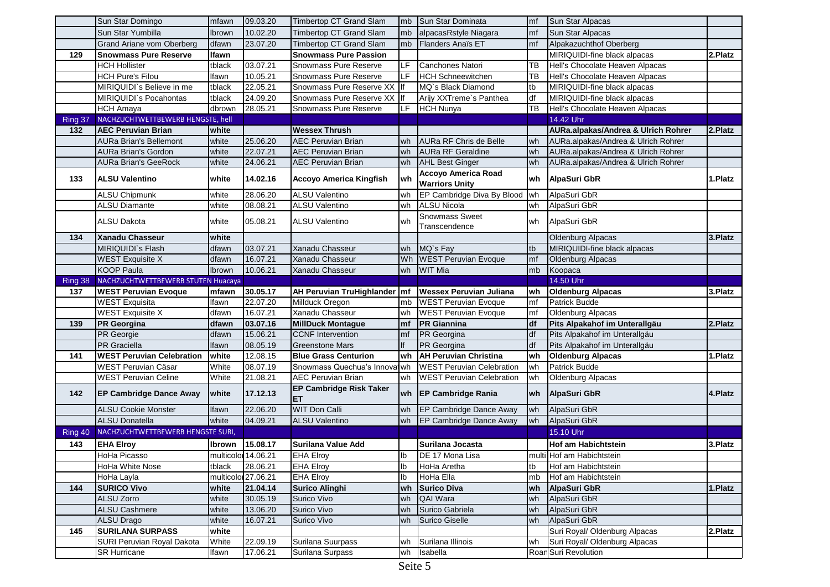|         | Sun Star Domingo                   | mfawn               | 09.03.20 | Timbertop CT Grand Slam              | mb            | Sun Star Dominata                            | mf             | Sun Star Alpacas                    |         |
|---------|------------------------------------|---------------------|----------|--------------------------------------|---------------|----------------------------------------------|----------------|-------------------------------------|---------|
|         | Sun Star Yumbilla                  | Ibrown              | 10.02.20 | Timbertop CT Grand Slam              | mb            | alpacasRstyle Niagara                        | m <sub>f</sub> | Sun Star Alpacas                    |         |
|         | Grand Ariane vom Oberberg          | dfawn               | 23.07.20 | <b>Timbertop CT Grand Slam</b>       | mb            | <b>Flanders Anaïs ET</b>                     | mf             | Alpakazuchthof Oberberg             |         |
| 129     | <b>Snowmass Pure Reserve</b>       | lfawn               |          | <b>Snowmass Pure Passion</b>         |               |                                              |                | MIRIQUIDI-fine black alpacas        | 2.Platz |
|         | <b>HCH Hollister</b>               | tblack              | 03.07.21 | Snowmass Pure Reserve                | LF            | Canchones Natori                             | ТB             | Hell's Chocolate Heaven Alpacas     |         |
|         | <b>HCH Pure's Filou</b>            | Ifawn               | 10.05.21 | Snowmass Pure Reserve                | LF            | <b>HCH Schneewitchen</b>                     | ТB             | Hell's Chocolate Heaven Alpacas     |         |
|         | MIRIQUIDI`s Believe in me          | tblack              | 22.05.21 | Snowmass Pure Reserve XX If          |               | MQ's Black Diamond                           | tb             | MIRIQUIDI-fine black alpacas        |         |
|         | MIRIQUIDI`s Pocahontas             | tblack              | 24.09.20 | Snowmass Pure Reserve XX If          |               | Arijy XXTreme's Panthea                      | ldf            | MIRIQUIDI-fine black alpacas        |         |
|         | <b>HCH Amaya</b>                   | dbrown              | 28.05.21 | Snowmass Pure Reserve                | <b>LF</b>     | <b>HCH Nunya</b>                             | <b>TB</b>      | Hell's Chocolate Heaven Alpacas     |         |
| Ring 37 | NACHZUCHTWETTBEWERB HENGSTE, hell  |                     |          |                                      |               |                                              |                | 14.42 Uhr                           |         |
| 132     | <b>AEC Peruvian Brian</b>          | white               |          | <b>Wessex Thrush</b>                 |               |                                              |                | AURa.alpakas/Andrea & Ulrich Rohrer | 2.Platz |
|         | <b>AURa Brian's Bellemont</b>      | white               | 25.06.20 | <b>AEC Peruvian Brian</b>            | wh            | <b>AURa RF Chris de Belle</b>                | wh             | AURa.alpakas/Andrea & Ulrich Rohrer |         |
|         | <b>AURa Brian's Gordon</b>         | white               | 22.07.21 | <b>AEC Peruvian Brian</b>            | wh            | <b>AURa RF Geraldine</b>                     | wh             | AURa.alpakas/Andrea & Ulrich Rohrer |         |
|         | AURa Brian's GeeRock               | white               | 24.06.21 | <b>AEC Peruvian Brian</b>            | wh            | <b>AHL Best Ginger</b>                       | wh             | AURa.alpakas/Andrea & Ulrich Rohrer |         |
| 133     | <b>ALSU Valentino</b>              | white               | 14.02.16 | Accoyo America Kingfish              | wh            | Accoyo America Road<br><b>Warriors Unity</b> | lwh            | AlpaSuri GbR                        | 1.Platz |
|         | <b>ALSU Chipmunk</b>               | white               | 28.06.20 | <b>ALSU Valentino</b>                | wh            | EP Cambridge Diva By Blood                   | wh             | AlpaSuri GbR                        |         |
|         | ALSU Diamante                      | white               | 08.08.21 | <b>ALSU Valentino</b>                | wh            | <b>ALSU Nicola</b>                           | wh             | AlpaSuri GbR                        |         |
|         | ALSU Dakota                        | white               | 05.08.21 | <b>ALSU Valentino</b>                | wh            | Snowmass Sweet<br>Transcendence              | wh             | AlpaSuri GbR                        |         |
| 134     | Xanadu Chasseur                    | white               |          |                                      |               |                                              |                | <b>Oldenburg Alpacas</b>            | 3.Platz |
|         | MIRIQUIDI`s Flash                  | dfawn               | 03.07.21 | Xanadu Chasseur                      | wh            | MQ's Fay                                     | tb             | MIRIQUIDI-fine black alpacas        |         |
|         | <b>WEST Exquisite X</b>            | dfawn               | 16.07.21 | Xanadu Chasseur                      | Wh            | <b>WEST Peruvian Evoque</b>                  | mf             | <b>Oldenburg Alpacas</b>            |         |
|         | <b>KOOP Paula</b>                  | Ibrown              | 10.06.21 | Xanadu Chasseur                      | wh            | <b>WIT Mia</b>                               | mb             | Koopaca                             |         |
| Ring 38 | NACHZUCHTWETTBEWERB STUTEN Huacaya |                     |          |                                      |               |                                              |                | 14.50 Uhr                           |         |
| 137     | <b>WEST Peruvian Evoque</b>        | mfawn               | 30.05.17 | AH Peruvian TruHighlander   mf       |               | <b>Wessex Peruvian Juliana</b>               | wh             | <b>Oldenburg Alpacas</b>            | 3.Platz |
|         | <b>WEST Exquisita</b>              | Ifawn               | 22.07.20 | Millduck Oregon                      | mb            | <b>WEST Peruvian Evoque</b>                  | lmf            | Patrick Budde                       |         |
|         | <b>WEST Exquisite X</b>            | dfawn               | 16.07.21 | Xanadu Chasseur                      | wh            | <b>WEST Peruvian Evoque</b>                  | mf             | Oldenburg Alpacas                   |         |
| 139     | <b>PR Georgina</b>                 | dfawn               | 03.07.16 | <b>MillDuck Montague</b>             | mf            | <b>PR</b> Giannina                           | df             | Pits Alpakahof im Unterallgäu       | 2.Platz |
|         | <b>PR</b> Georgie                  | dfawn               | 15.06.21 | <b>CCNF</b> Intervention             | mf            | PR Georgina                                  | df             | Pits Alpakahof im Unterallgäu       |         |
|         | <b>PR</b> Graciella                | Ifawn               | 08.05.19 | <b>Greenstone Mars</b>               |               | PR Georgina                                  | df             | Pits Alpakahof im Unterallgäu       |         |
| 141     | <b>WEST Peruvian Celebration</b>   | white               | 12.08.15 | <b>Blue Grass Centurion</b>          | wh            | <b>AH Peruvian Christina</b>                 | wh             | <b>Oldenburg Alpacas</b>            | 1.Platz |
|         | WEST Peruvian Cäsar                | White               | 08.07.19 | Snowmass Quechua's Innoval wh        |               | <b>WEST</b> Peruvian Celebration             | wh             | Patrick Budde                       |         |
|         | <b>WEST Peruvian Celine</b>        | White               | 21.08.21 | <b>AEC Peruvian Brian</b>            | wh            | <b>WEST Peruvian Celebration</b>             | wh             | Oldenburg Alpacas                   |         |
| 142     | <b>EP Cambridge Dance Away</b>     | white               | 17.12.13 | <b>EP Cambridge Risk Taker</b><br>ET | wh            | <b>EP Cambridge Rania</b>                    | lwh.           | <b>AlpaSuri GbR</b>                 | 4.Platz |
|         | <b>ALSU Cookie Monster</b>         | Ifawn               | 22.06.20 | WIT Don Calli                        | wh            | EP Cambridge Dance Away                      | wh             | AlpaSuri GbR                        |         |
|         | <b>ALSU Donatella</b>              | white               | 04.09.21 | <b>ALSU Valentino</b>                | wh            | EP Cambridge Dance Away                      | wh             | AlpaSuri GbR                        |         |
| Ring 40 | NACHZUCHTWETTBEWERB HENGSTE SURI,  |                     |          |                                      |               |                                              |                | 15.10 Uhr                           |         |
| 143     | <b>EHA Elroy</b>                   | Ibrown              | 15.08.17 | Surilana Value Add                   |               | Surilana Jocasta                             |                | Hof am Habichtstein                 | 3.Platz |
|         | HoHa Picasso                       | multicolor 14.06.21 |          | <b>EHA Elroy</b>                     | $\mathsf{lb}$ | DE 17 Mona Lisa                              |                | multi Hof am Habichtstein           |         |
|         | HoHa White Nose                    | tblack              | 28.06.21 | <b>EHA Elroy</b>                     | Ib            | HoHa Aretha                                  | Itb            | Hof am Habichtstein                 |         |
|         | HoHa Layla                         | multicolor 27.06.21 |          | <b>EHA Elroy</b>                     | lb            | HoHa Ella                                    | mb             | Hof am Habichtstein                 |         |
| 144     | <b>SURICO Vivo</b>                 | white               | 21.04.14 | <b>Surico Alinghi</b>                |               | wh Surico Diva                               | wh             | AlpaSuri GbR                        | 1.Platz |
|         | ALSU Zorro                         | white               | 30.05.19 | Surico Vivo                          | wh            | QAI Wara                                     | wh             | AlpaSuri GbR                        |         |
|         | <b>ALSU Cashmere</b>               | white               | 13.06.20 | Surico Vivo                          | wh            | Surico Gabriela                              | wh             | AlpaSuri GbR                        |         |
|         | ALSU Drago                         | white               | 16.07.21 | Surico Vivo                          | wh            | Surico Giselle                               | wh             | AlpaSuri GbR                        |         |
| 145     | <b>SURILANA SURPASS</b>            | white               |          |                                      |               |                                              |                | Suri Royal/ Oldenburg Alpacas       | 2.Platz |
|         | SURI Peruvian Royal Dakota         | White               | 22.09.19 | Surilana Suurpass                    | wh            | Surilana Illinois                            | wh             | Suri Royal/ Oldenburg Alpacas       |         |
|         | <b>SR Hurricane</b>                | Ifawn               | 17.06.21 | Surilana Surpass                     | wh            | Isabella                                     |                | Roan Suri Revolution                |         |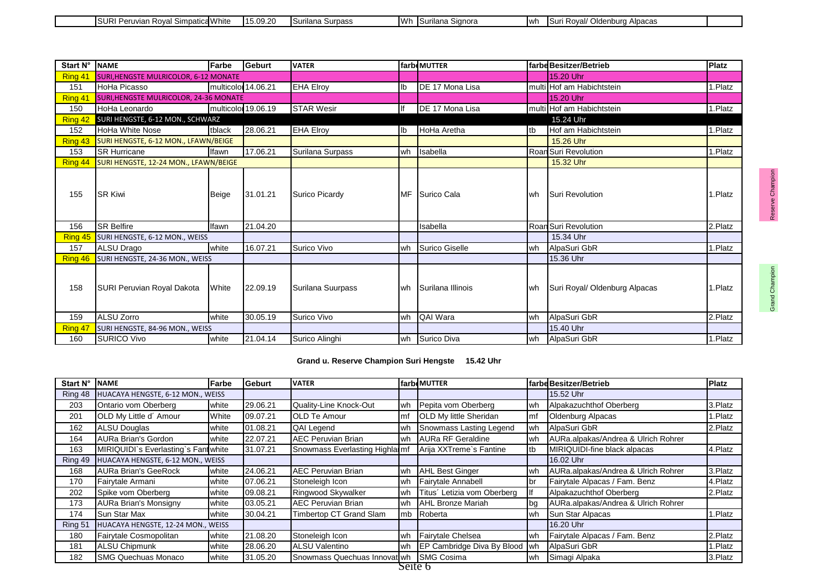| Simpatica <sup>14"</sup><br>− URI ⊓<br>hite<br>eruvian<br>.<br>$n \nu a$ | 15.09.20<br>14 F | ∵mass<br>ilana | 111h | ılana<br>signora | <b>I</b> wh | <b>I</b> Suri<br>In a a<br>nhura؛<br>Roval/<br>шања. |  |
|--------------------------------------------------------------------------|------------------|----------------|------|------------------|-------------|------------------------------------------------------|--|

| Start N° | <b>INAME</b>                                  | Farbe               | <b>Geburt</b>       | <b>VATER</b>      |                | farbeMUTTER       |      | farbe Besitzer/Betrieb        | <b>Platz</b> |
|----------|-----------------------------------------------|---------------------|---------------------|-------------------|----------------|-------------------|------|-------------------------------|--------------|
| Ring 41  | <b>SURI, HENGSTE MULRICOLOR, 6-12 MONATE</b>  |                     |                     |                   |                |                   |      | 15.20 Uhr                     |              |
| 151      | HoHa Picasso                                  | multicolor 14.06.21 |                     | <b>EHA Elroy</b>  | I <sub>b</sub> | DE 17 Mona Lisa   |      | multi Hof am Habichtstein     | 1.Platz      |
| Ring 41  | <b>SURI, HENGSTE MULRICOLOR, 24-36 MONATE</b> |                     |                     |                   |                |                   |      | 15.20 Uhr                     |              |
| 150      | HoHa Leonardo                                 |                     | multicolor 19.06.19 | <b>STAR Wesir</b> | llf            | DE 17 Mona Lisa   |      | multi Hof am Habichtstein     | 1.Platz      |
| Ring 42  | SURI HENGSTE, 6-12 MON., SCHWARZ              |                     |                     |                   |                |                   |      | 15.24 Uhr                     |              |
| 152      | <b>HoHa White Nose</b>                        | tblack              | 28.06.21            | <b>EHA Elroy</b>  | lb             | HoHa Aretha       | Itb  | Hof am Habichtstein           | 1.Platz      |
| Ring 43  | SURI HENGSTE, 6-12 MON., LFAWN/BEIGE          |                     |                     |                   |                |                   |      | 15.26 Uhr                     |              |
| 153      | <b>SR Hurricane</b>                           | Ifawn               | 17.06.21            | Surilana Surpass  | wh             | Isabella          |      | Roan Suri Revolution          | 1.Platz      |
| Ring 44  | SURI HENGSTE, 12-24 MON., LFAWN/BEIGE         |                     |                     |                   |                |                   |      | 15.32 Uhr                     |              |
| 155      | <b>ISR Kiwi</b>                               | Beige               | 31.01.21            | Surico Picardy    | <b>MF</b>      | Surico Cala       | lwh. | <b>Suri Revolution</b>        | 1.Platz      |
| 156      | <b>SR Belfire</b>                             | <b>Ifawn</b>        | 21.04.20            |                   |                | Isabella          |      | Roan Suri Revolution          | 2.Platz      |
| Ring 45  | SURI HENGSTE, 6-12 MON., WEISS                |                     |                     |                   |                |                   |      | 15.34 Uhr                     |              |
| 157      | ALSU Drago                                    | white               | 16.07.21            | Surico Vivo       | wh             | Surico Giselle    | lwh  | AlpaSuri GbR                  | 1.Platz      |
| Ring 46  | SURI HENGSTE, 24-36 MON., WEISS               |                     |                     |                   |                |                   |      | 15.36 Uhr                     |              |
| 158      | SURI Peruvian Royal Dakota                    | White               | 22.09.19            | Surilana Suurpass | wh             | Surilana Illinois | lwh. | Suri Royal/ Oldenburg Alpacas | 1.Platz      |
| 159      | <b>ALSU Zorro</b>                             | white               | 30.05.19            | Surico Vivo       | wh             | QAI Wara          | l wh | AlpaSuri GbR                  | 2.Platz      |
| Ring 47  | SURI HENGSTE, 84-96 MON., WEISS               |                     |                     |                   |                |                   |      | 15.40 Uhr                     |              |
| 160      | <b>SURICO Vivo</b>                            | white               | 21.04.14            | Surico Alinghi    | wh             | Surico Diva       | wh   | AlpaSuri GbR                  | 1.Platz      |

**Grand u. Reserve Champion Suri Hengste 15.42 Uhr**

| Start N° | <b>NAME</b>                          | Farbe          | Geburt   | <b>VATER</b>                    |                | farbeMUTTER                   |     | farbe Besitzer/Betrieb              | <b>Platz</b> |
|----------|--------------------------------------|----------------|----------|---------------------------------|----------------|-------------------------------|-----|-------------------------------------|--------------|
| Ring 48  | HUACAYA HENGSTE, 6-12 MON., WEISS    |                |          |                                 |                |                               |     | 15.52 Uhr                           |              |
| 203      | Ontario vom Oberberg                 | <b>I</b> white | 29.06.21 | Quality-Line Knock-Out          | lwh            | Pepita vom Oberberg           | lwh | Alpakazuchthof Oberberg             | 3.Platz      |
| 201      | OLD My Little d' Amour               | White          | 09.07.21 | <b>IOLD Te Amour</b>            | m <sub>f</sub> | <b>OLD My little Sheridan</b> | Imf | Oldenburg Alpacas                   | 1.Platz      |
| 162      | <b>ALSU Douglas</b>                  | white          | 01.08.21 | <b>QAI Legend</b>               | wh             | Snowmass Lasting Legend       | wh  | AlpaSuri GbR                        | 2.Platz      |
| 164      | AURa Brian's Gordon                  | white          | 22.07.21 | <b>AEC Peruvian Brian</b>       | wh             | <b>AURa RF Geraldine</b>      | wh  | AURa.alpakas/Andrea & Ulrich Rohrer |              |
| 163      | MIRIQUIDI`s Everlasting`s Fant white |                | 31.07.21 | Snowmass Everlasting Highlai mf |                | Arija XXTreme's Fantine       | Itb | MIRIQUIDI-fine black alpacas        | 4.Platz      |
| Ring 49  | HUACAYA HENGSTE, 6-12 MON., WEISS    |                |          |                                 |                |                               |     | 16.02 Uhr                           |              |
| 168      | <b>AURa Brian's GeeRock</b>          | white          | 24.06.21 | <b>AEC Peruvian Brian</b>       | wh             | <b>AHL Best Ginger</b>        | lwh | AURa.alpakas/Andrea & Ulrich Rohrer | 3.Platz      |
| 170      | Fairytale Armani                     | white          | 07.06.21 | Stoneleigh Icon                 | wh             | Fairytale Annabell            | br  | Fairytale Alpacas / Fam. Benz       | 4.Platz      |
| 202      | Spike vom Oberberg                   | white          | 09.08.21 | Ringwood Skywalker              | lwh            | Titus' Letizia vom Oberberg   |     | Alpakazuchthof Oberberg             | 2.Platz      |
| 173      | <b>AURa Brian's Monsigny</b>         | white          | 03.05.21 | <b>AEC Peruvian Brian</b>       | lwh            | <b>AHL Bronze Mariah</b>      | ∥bg | AURa.alpakas/Andrea & Ulrich Rohrer |              |
| 174      | Sun Star Max                         | white          | 30.04.21 | Timbertop CT Grand Slam         | mb             | Roberta                       | wh  | Sun Star Alpacas                    | 1.Platz      |
| Ring 51  | HUACAYA HENGSTE, 12-24 MON., WEISS   |                |          |                                 |                |                               |     | 16.20 Uhr                           |              |
| 180      | Fairytale Cosmopolitan               | white          | 21.08.20 | Stoneleigh Icon                 | wh             | Fairytale Chelsea             | wh  | Fairytale Alpacas / Fam. Benz       | 2.Platz      |
| 181      | <b>ALSU Chipmunk</b>                 | white          | 28.06.20 | <b>ALSU Valentino</b>           | wh             | EP Cambridge Diva By Blood    | Iwh | AlpaSuri GbR                        | 1.Platz      |
| 182      | <b>SMG Quechuas Monaco</b>           | white          | 31.05.20 | Snowmass Quechuas Innovat wh    |                | <b>SMG Cosima</b>             | wh  | Simagi Alpaka                       | 3.Platz      |
|          |                                      |                |          |                                 | Seite 6        |                               |     |                                     |              |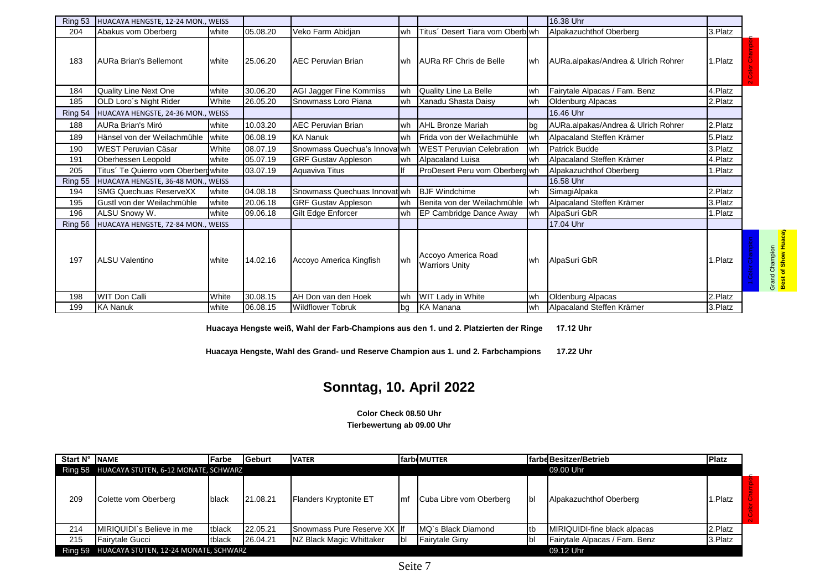| Ring 53 | HUACAYA HENGSTE, 12-24 MON., WEISS  |                |          |                                |    |                                              |             | 16.38 Uhr                           |         |                                                |
|---------|-------------------------------------|----------------|----------|--------------------------------|----|----------------------------------------------|-------------|-------------------------------------|---------|------------------------------------------------|
| 204     | Abakus vom Oberberg                 | white          | 05.08.20 | Veko Farm Abidjan              | wh | Titus' Desert Tiara vom Oberb wh             |             | Alpakazuchthof Oberberg             | 3.Platz |                                                |
| 183     | <b>AURa Brian's Bellemont</b>       | <b>I</b> white | 25.06.20 | <b>AEC Peruvian Brian</b>      |    | wh AURa RF Chris de Belle                    | wh          | AURa.alpakas/Andrea & Ulrich Rohrer | 1.Platz |                                                |
| 184     | <b>Quality Line Next One</b>        | white          | 30.06.20 | <b>AGI Jagger Fine Kommiss</b> | wh | Quality Line La Belle                        | wh          | Fairytale Alpacas / Fam. Benz       | 4.Platz |                                                |
| 185     | OLD Loro's Night Rider              | White          | 26.05.20 | Snowmass Loro Piana            | wh | Xanadu Shasta Daisy                          | lwh         | Oldenburg Alpacas                   | 2.Platz |                                                |
| Ring 54 | HUACAYA HENGSTE, 24-36 MON., WEISS  |                |          |                                |    |                                              |             | 16.46 Uhr                           |         |                                                |
| 188     | AURa Brian's Miró                   | <b>white</b>   | 10.03.20 | <b>AEC Peruvian Brian</b>      | wh | <b>AHL Bronze Mariah</b>                     | <b>I</b> ba | AURa.alpakas/Andrea & Ulrich Rohrer | 2.Platz |                                                |
| 189     | Hänsel von der Weilachmühle         | <b>I</b> white | 06.08.19 | <b>KA Nanuk</b>                | wh | Frida von der Weilachmühle                   | wh          | Alpacaland Steffen Krämer           | 5.Platz |                                                |
| 190     | WEST Peruvian Cäsar                 | White          | 08.07.19 | Snowmass Quechua's Innoval wh  |    | <b>WEST Peruvian Celebration</b>             | wh          | Patrick Budde                       | 3.Platz |                                                |
| 191     | Oberhessen Leopold                  | white          | 05.07.19 | <b>GRF Gustav Appleson</b>     | wh | Alpacaland Luisa                             | wh          | Alpacaland Steffen Krämer           | 4.Platz |                                                |
| 205     | Titus´ Te Quierro vom Oberberdwhite |                | 03.07.19 | Aguaviva Titus                 |    | ProDesert Peru vom Oberberg wh               |             | Alpakazuchthof Oberberg             | 1.Platz |                                                |
| Ring 55 | HUACAYA HENGSTE, 36-48 MON., WEISS  |                |          |                                |    |                                              |             | 16.58 Uhr                           |         |                                                |
| 194     | <b>SMG Quechuas ReserveXX</b>       | white          | 04.08.18 | Snowmass Quechuas Innovat wh   |    | <b>BJF</b> Windchime                         | lwh         | SimagiAlpaka                        | 2.Platz |                                                |
| 195     | Gustl von der Weilachmühle          | white          | 20.06.18 | <b>GRF Gustav Appleson</b>     | wh | Benita von der Weilachmühle                  | <b>I</b> wh | Alpacaland Steffen Krämer           | 3.Platz |                                                |
| 196     | ALSU Snowy W.                       | white          | 09.06.18 | Gilt Edge Enforcer             | wh | EP Cambridge Dance Away                      | wh          | AlpaSuri GbR                        | 1.Platz |                                                |
| Ring 56 | HUACAYA HENGSTE, 72-84 MON., WEISS  |                |          |                                |    |                                              |             | 17.04 Uhr                           |         |                                                |
| 197     | <b>ALSU Valentino</b>               | <b>white</b>   | 14.02.16 | Accoyo America Kingfish        | wh | Accoyo America Road<br><b>Warriors Unity</b> | wh          | AlpaSuri GbR                        | 1.Platz | Grand Champion<br><mark>Best of Show Hu</mark> |
| 198     | <b>WIT Don Calli</b>                | White          | 30.08.15 | AH Don van den Hoek            | wh | <b>WIT Lady in White</b>                     | wh          | <b>Oldenburg Alpacas</b>            | 2.Platz |                                                |
| 199     | <b>KA Nanuk</b>                     | <b>I</b> white | 06.08.15 | <b>Wildflower Tobruk</b>       | bg | <b>KA Manana</b>                             | wh          | Alpacaland Steffen Krämer           | 3.Platz |                                                |

**Huacaya Hengste weiß, Wahl der Farb-Champions aus den 1. und 2. Platzierten der Ringe 17.12 Uhr**

**Huacaya Hengste, Wahl des Grand- und Reserve Champion aus 1. und 2. Farbchampions 17.22 Uhr**

# **Sonntag, 10. April 2022**

**Color Check 08.50 Uhr Tierbewertung ab 09.00 Uhr**

| Start N° | <b>NAME</b>                                  | <b>IFarbe</b> | lGeburt  | <b>VATER</b>                |          | <b>farbeMUTTER</b>      |     | <b>Ifarbe Besitzer/Betrieb</b> | <b>Platz</b> |  |
|----------|----------------------------------------------|---------------|----------|-----------------------------|----------|-------------------------|-----|--------------------------------|--------------|--|
|          | Ring 58 HUACAYA STUTEN, 6-12 MONATE, SCHWARZ |               |          |                             |          |                         |     | 09.00 Uhr                      |              |  |
| 209      | Colette vom Oberberg                         | black         | 21.08.21 | Flanders Kryptonite ET      | Imf      | Cuba Libre vom Oberberg | Ibl | Alpakazuchthof Oberberg        | i.Platz      |  |
| 214      | <b>IMIRIQUIDI`s Believe in me</b>            | tblack        | 22.05.21 | Snowmass Pure Reserve XX If |          | IMQ's Black Diamond     | tb  | MIRIQUIDI-fine black alpacas   | 2.Platz      |  |
| 215      | Fairvtale Gucci                              | tblack        | 26.04.21 | NZ Black Magic Whittaker    | <b>b</b> | <b>Fairvtale Ginv</b>   |     | Fairytale Alpacas / Fam. Benz  | 3.Platz      |  |
| Ring 59  | HUACAYA STUTEN, 12-24 MONATE, SCHWARZ        |               |          |                             |          |                         |     | 09.12 Uhr                      |              |  |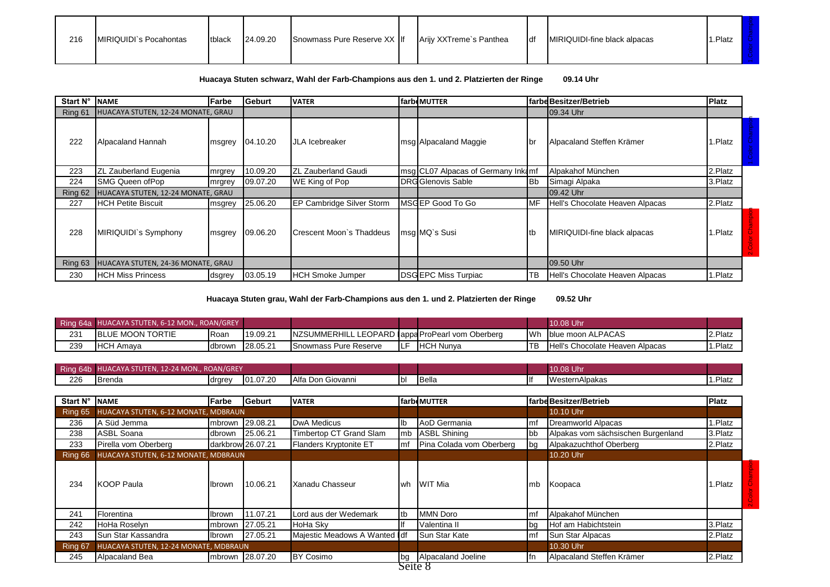| 216<br>Snowmass Pure Reserve XX If<br>MIRIQUIDI`s Pocahontas<br>Arijy XXTreme's Panthea<br>tblack<br><b>IMIRIQUIDI-fine black alpacas</b><br>24.09.20<br><b>I</b> df | 1.Platz |  |  |  |  |  |  |
|----------------------------------------------------------------------------------------------------------------------------------------------------------------------|---------|--|--|--|--|--|--|
|----------------------------------------------------------------------------------------------------------------------------------------------------------------------|---------|--|--|--|--|--|--|

## **Huacaya Stuten schwarz, Wahl der Farb-Champions aus den 1. und 2. Platzierten der Ringe 09.14 Uhr**

| Start N° | <b>I</b> NAME                      | l Farbe | Geburt   | <b>VATER</b>                      | farbeMUTTER                        |            | farbe Besitzer/Betrieb          | <b>Platz</b> |  |
|----------|------------------------------------|---------|----------|-----------------------------------|------------------------------------|------------|---------------------------------|--------------|--|
| Ring 61  | HUACAYA STUTEN, 12-24 MONATE, GRAU |         |          |                                   |                                    |            | 09.34 Uhr                       |              |  |
| 222      | Alpacaland Hannah                  | msgrey  | 04.10.20 | <b>JLA</b> Icebreaker             | msg Alpacaland Maggie              | ∎br        | Alpacaland Steffen Krämer       | .Platz       |  |
| 223      | ZL Zauberland Eugenia              | mrgrey  | 10.09.20 | <b>ZL Zauberland Gaudi</b>        | msg CL07 Alpacas of Germany Inkamf |            | Alpakahof München               | 2.Platz      |  |
| 224      | <b>SMG Queen of Pop</b>            | mrgrey  | 09.07.20 | WE King of Pop                    | DRG Glenovis Sable                 | IBb        | Simagi Alpaka                   | 3.Platz      |  |
| Ring 62  | HUACAYA STUTEN, 12-24 MONATE, GRAU |         |          |                                   |                                    |            | 09.42 Uhr                       |              |  |
| 227      | <b>IHCH Petite Biscuit</b>         | msgrey  | 25.06.20 | <b>IEP Cambridge Silver Storm</b> | MSGEP Good To Go                   | <b>IMF</b> | Hell's Chocolate Heaven Alpacas | 2.Platz      |  |
| 228      | MIRIQUIDI's Symphony               | msgrey  | 09.06.20 | Crescent Moon's Thaddeus          | msq MQ's Susi                      | Itb        | MIRIQUIDI-fine black alpacas    | Platz.       |  |
| Ring 63  | HUACAYA STUTEN, 24-36 MONATE, GRAU |         |          |                                   |                                    |            | 09.50 Uhr                       |              |  |
| 230      | <b>HCH Miss Princess</b>           | dsgrey  | 03.05.19 | <b>HCH Smoke Jumper</b>           | <b>DSGEPC Miss Turpiac</b>         | ТB         | Hell's Chocolate Heaven Alpacas | .Platz       |  |

**Huacaya Stuten grau, Wahl der Farb-Champions aus den 1. und 2. Platzierten der Ringe 09.52 Uhr**

|     | Ring 64a HUACAYA STUTEN, 6-12 MON., ROAN/GREY |             |          |                                                  |     |                   |      | 10.08 Uhr                       |         |
|-----|-----------------------------------------------|-------------|----------|--------------------------------------------------|-----|-------------------|------|---------------------------------|---------|
| 231 | <b>IBLUE MOON TORTIE</b>                      | <b>Roan</b> | 19.09.21 | NZSUMMERHILL LEOPARD (appa ProPearl vom Oberberg |     |                   | lWh. | Iblue moon ALPACAS              | 2.Platz |
| 239 | $\sim$<br><b>IHCH Amava</b>                   | dbrown      | 28.05.21 | <b>Snowmass Pure Reserve</b>                     | ILF | <b>IHCH Nunva</b> | 'TB  | Hell's Chocolate Heaven Alpacas | 1.Platz |

| Ring 64b<br>HUACAYA STUTEN, 12-24 MON., ROAN/GREY |               |        |          |                   |             | 10.08 Uhr      |                |         |
|---------------------------------------------------|---------------|--------|----------|-------------------|-------------|----------------|----------------|---------|
| 226                                               | <b>Brenda</b> | drgrey | 01.07.20 | Alfa Don Giovanni | <b>I</b> bl | <b>I</b> Bella | WesternAlpakas | 1.Platz |

| Start N° | <b>INAME</b>                          | Farbe  | <b>I</b> Geburt   | <b>VATER</b>                  |            | farbeMUTTER              |             | farbe Besitzer/Betrieb             | <b>Platz</b> |  |
|----------|---------------------------------------|--------|-------------------|-------------------------------|------------|--------------------------|-------------|------------------------------------|--------------|--|
| Ring 65  | HUACAYA STUTEN, 6-12 MONATE, MDBRAUN  |        |                   |                               |            |                          |             | 10.10 Uhr                          |              |  |
| 236      | A Süd Jemma                           |        | mbrown 29.08.21   | DwA Medicus                   | lb         | AoD Germania             | Imf         | Dreamworld Alpacas                 | 1.Platz      |  |
| 238      | ASBL Soana                            | dbrown | 25.06.21          | Timbertop CT Grand Slam       | <b>Imb</b> | <b>ASBL Shining</b>      | lbb         | Alpakas vom sächsischen Burgenland | 3.Platz      |  |
| 233      | Pirella vom Oberberg                  |        | darkbrow 26.07.21 | Flanders Kryptonite ET        | lmf        | Pina Colada vom Oberberg | lbg         | Alpakazuchthof Oberberg            | 2.Platz      |  |
| Ring 66  | HUACAYA STUTEN, 6-12 MONATE, MDBRAUN  |        |                   |                               |            |                          |             | 10.20 Uhr                          |              |  |
| 234      | <b>KOOP Paula</b>                     | Ibrown | 10.06.21          | Xanadu Chasseur               | l wh       | WIT Mia                  | Imb         | Koopaca                            | I.Platz      |  |
| 241      | Florentina                            | Ibrown | 11.07.21          | Lord aus der Wedemark         | tb         | <b>MMN</b> Doro          | Imf         | Alpakahof München                  |              |  |
| 242      | HoHa Roselyn                          |        | mbrown 27.05.21   | HoHa Sky                      |            | Valentina II             | <b>I</b> bg | Hof am Habichtstein                | 3.Platz      |  |
| 243      | Sun Star Kassandra                    | Ibrown | 27.05.21          | Majestic Meadows A Wanted Idf |            | Sun Star Kate            | Imf         | Sun Star Alpacas                   | 2.Platz      |  |
| Ring 67  | HUACAYA STUTEN, 12-24 MONATE, MDBRAUN |        |                   |                               |            |                          |             | 10.30 Uhr                          |              |  |
| 245      | Alpacaland Bea                        |        | mbrown 28.07.20   | <b>BY Cosimo</b>              | bg         | Alpacaland Joeline       | Ifn.        | Alpacaland Steffen Krämer          | 2.Platz      |  |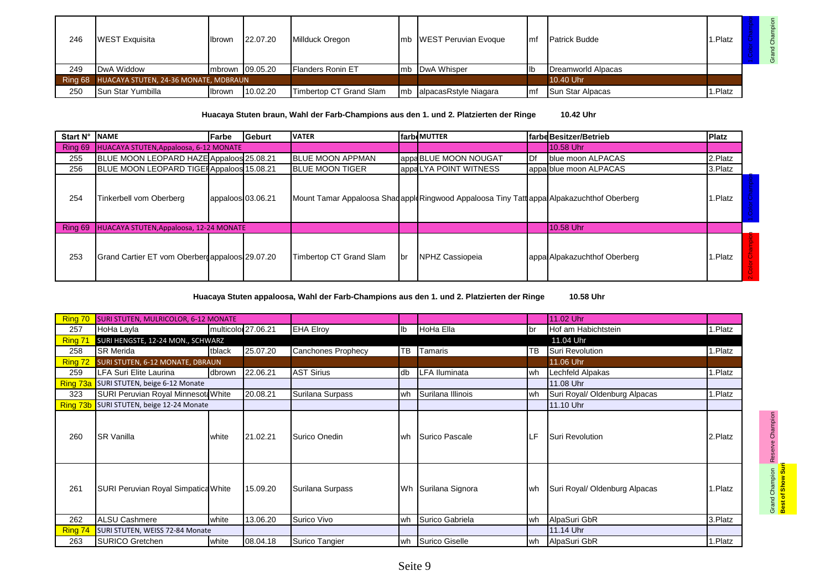| 246     | <b>WEST Exquisita</b>                 | <b>I</b> lbrown | 22.07.20 | Millduck Oregon          | mb WEST Peruvian Evoque  | Imf | <b>Patrick Budde</b>    | 1.Platz |  |
|---------|---------------------------------------|-----------------|----------|--------------------------|--------------------------|-----|-------------------------|---------|--|
| 249     | DwA Widdow                            | mbrown 09.05.20 |          | <b>Flanders Ronin ET</b> | mb DwA Whisper           | llb | Dreamworld Alpacas      |         |  |
| Ring 68 | HUACAYA STUTEN, 24-36 MONATE, MDBRAUN |                 |          |                          |                          |     | 10.40 Uhr               |         |  |
| 250     | <b>I</b> Sun Star Yumbilla            | <b>I</b> brown  | 10.02.20 | Timbertop CT Grand Slam  | mb alpacasRstyle Niagara | Imf | <b>Sun Star Alpacas</b> | 1.Platz |  |

**Huacaya Stuten braun, Wahl der Farb-Champions aus den 1. und 2. Platzierten der Ringe 10.42 Uhr**

| Start N° | <b>NAME</b>                                     | <b>IFarbe</b>     | <b>IGeburt</b> | <b>VATER</b>             |             | <b>farbeMUTTER</b>                                                                         |     | lfarbdBesitzer/Betrieb       | <b>Platz</b> |  |
|----------|-------------------------------------------------|-------------------|----------------|--------------------------|-------------|--------------------------------------------------------------------------------------------|-----|------------------------------|--------------|--|
| Ring 69  | <b>HUACAYA STUTEN, Appaloosa, 6-12 MONATE</b>   |                   |                |                          |             |                                                                                            |     | <b>10.58 Uhr</b>             |              |  |
| 255      | BLUE MOON LEOPARD HAZE Appaloos 25.08.21        |                   |                | <b>IBLUE MOON APPMAN</b> |             | appa BLUE MOON NOUGAT                                                                      | IDf | blue moon ALPACAS            | 2.Platz      |  |
| 256      | BLUE MOON LEOPARD TIGE Appaloos 15.08.21        |                   |                | <b>IBLUE MOON TIGER</b>  |             | appaLYA POINT WITNESS                                                                      |     | appa blue moon ALPACAS       | 3.Platz      |  |
| 254      | Tinkerbell vom Oberberg                         | appaloos 03.06.21 |                |                          |             | Mount Tamar Appaloosa Shaq apple Ringwood Appaloosa Tiny Tatt appa Alpakazuchthof Oberberg |     |                              | .Platz       |  |
| Ring 69  | <b>HUACAYA STUTEN, Appaloosa, 12-24 MONATE</b>  |                   |                |                          |             |                                                                                            |     | <b>10.58 Uhr</b>             |              |  |
| 253      | Grand Cartier ET vom Oberberg appaloos 29.07.20 |                   |                | Timbertop CT Grand Slam  | <b>I</b> br | <b>INPHZ Cassiopeia</b>                                                                    |     | appa Alpakazuchthof Oberberg | . Platz      |  |

**Huacaya Stuten appaloosa, Wahl der Farb-Champions aus den 1. und 2. Platzierten der Ringe 10.58 Uhr**

| Ring 70  | <b>SURI STUTEN, MULRICOLOR, 6-12 MONATE</b> |                     |          |                           |    |                      |             | 11.02 Uhr                     |         |
|----------|---------------------------------------------|---------------------|----------|---------------------------|----|----------------------|-------------|-------------------------------|---------|
| 257      | HoHa Layla                                  | multicolor 27.06.21 |          | <b>EHA Elroy</b>          | I  | HoHa Ella            | <b>I</b> br | Hof am Habichtstein           | 1.Platz |
| Ring 71  | SURI HENGSTE, 12-24 MON., SCHWARZ           |                     |          |                           |    |                      |             | 11.04 Uhr                     |         |
| 258      | <b>SR Merida</b>                            | tblack              | 25.07.20 | <b>Canchones Prophecy</b> | TB | <b>Tamaris</b>       | TB          | Suri Revolution               | 1.Platz |
| Ring 72  | <b>SURI STUTEN, 6-12 MONATE, DBRAUN</b>     |                     |          |                           |    |                      |             | 11.06 Uhr                     |         |
| 259      | LFA Suri Elite Laurina                      | dbrown              | 22.06.21 | <b>AST Sirius</b>         | db | <b>LFA Iluminata</b> | wh          | Lechfeld Alpakas              | 1.Platz |
| Ring 73a | SURI STUTEN, beige 6-12 Monate              |                     |          |                           |    |                      |             | 11.08 Uhr                     |         |
| 323      | SURI Peruvian Royal Minnesota White         |                     | 20.08.21 | Surilana Surpass          | wh | Surilana Illinois    | wh          | Suri Royal/ Oldenburg Alpacas | 1.Platz |
|          | Ring 73b SURI STUTEN, beige 12-24 Monate    |                     |          |                           |    |                      |             | 11.10 Uhr                     |         |
| 260      | <b>ISR Vanilla</b>                          | white               | 21.02.21 | Surico Onedin             | wh | Surico Pascale       | LF          | <b>Suri Revolution</b>        | 2.Platz |
| 261      | SURI Peruvian Royal Simpatica White         |                     | 15.09.20 | Surilana Surpass          |    | Wh Surilana Signora  | lwh.        | Suri Royal/ Oldenburg Alpacas | 1.Platz |
| 262      | <b>ALSU Cashmere</b>                        | white               | 13.06.20 | Surico Vivo               | wh | Surico Gabriela      | wh          | AlpaSuri GbR                  | 3.Platz |
| Ring 74  | SURI STUTEN, WEISS 72-84 Monate             |                     |          |                           |    |                      |             | 11.14 Uhr                     |         |
| 263      | <b>SURICO Gretchen</b>                      | white               | 08.04.18 | Surico Tangier            |    | wh Surico Giselle    | wh          | AlpaSuri GbR                  | 1.Platz |

Grand Champion Reserve Champion<br><mark>Best of Show Suri</mark> Reserve Champion **Best of Show Suri** Grand Champion

Seite 9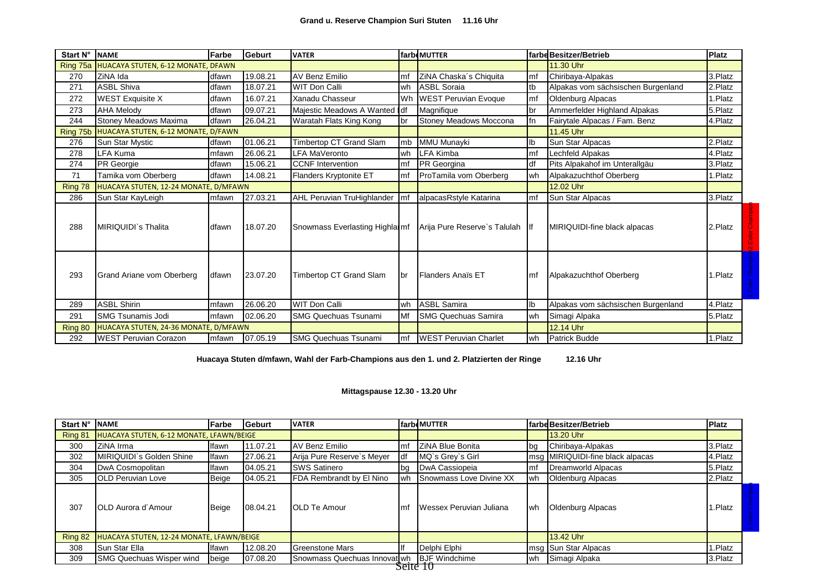| Start N° | <b>NAME</b>                           | Farbe | Geburt   | <b>VATER</b>                    |                | farbeMUTTER                   |              | farbe Besitzer/Betrieb             | Platz   |
|----------|---------------------------------------|-------|----------|---------------------------------|----------------|-------------------------------|--------------|------------------------------------|---------|
| Ring 75a | HUACAYA STUTEN, 6-12 MONATE, DFAWN    |       |          |                                 |                |                               |              | 11.30 Uhr                          |         |
| 270      | ZiNA Ida                              | dfawn | 19.08.21 | <b>AV Benz Emilio</b>           | mf             | ZiNA Chaska's Chiquita        | Imf          | Chiribaya-Alpakas                  | 3.Platz |
| 271      | <b>ASBL Shiva</b>                     | dfawn | 18.07.21 | <b>WIT Don Calli</b>            | wh             | <b>ASBL Soraia</b>            | tb           | Alpakas vom sächsischen Burgenland | 2.Platz |
| 272      | <b>WEST Exquisite X</b>               | dfawn | 16.07.21 | Xanadu Chasseur                 | Wh             | <b>WEST Peruvian Evoque</b>   | Imf          | Oldenburg Alpacas                  | 1.Platz |
| 273      | <b>AHA Melody</b>                     | dfawn | 09.07.21 | Majestic Meadows A Wanted       | $\mathsf{Idf}$ | Magnifique                    | br           | Ammerfelder Highland Alpakas       | 5.Platz |
| 244      | Stoney Meadows Maxima                 | dfawn | 26.04.21 | Waratah Flats King Kong         | br             | Stoney Meadows Moccona        | fn           | Fairytale Alpacas / Fam. Benz      | 4.Platz |
| Ring 75b | HUACAYA STUTEN, 6-12 MONATE, D/FAWN   |       |          |                                 |                |                               |              | 11.45 Uhr                          |         |
| 276      | Sun Star Mystic                       | dfawn | 01.06.21 | Timbertop CT Grand Slam         | mb             | MMU Munayki                   | lb           | Sun Star Alpacas                   | 2.Platz |
| 278      | LFA Kuma                              | mfawn | 26.06.21 | LFA MaVeronto                   | wh             | <b>LFA Kimba</b>              | <b>I</b> mf  | Lechfeld Alpakas                   | 4.Platz |
| 274      | PR Georgie                            | dfawn | 15.06.21 | <b>CCNF</b> Intervention        | lmf            | PR Georgina                   | df           | Pits Alpakahof im Unterallgäu      | 3.Platz |
| 71       | Tamika vom Oberberg                   | dfawn | 14.08.21 | Flanders Kryptonite ET          | Imf            | ProTamila vom Oberberg        | wh           | Alpakazuchthof Oberberg            | 1.Platz |
| Ring 78  | HUACAYA STUTEN, 12-24 MONATE, D/MFAWN |       |          |                                 |                |                               |              | 12.02 Uhr                          |         |
| 286      | Sun Star KayLeigh                     | mfawn | 27.03.21 | AHL Peruvian TruHighlander      | Imf            | alpacasRstyle Katarina        | Imf          | Sun Star Alpacas                   | 3.Platz |
| 288      | MIRIQUIDI`s Thalita                   | dfawn | 18.07.20 | Snowmass Everlasting Highlai mf |                | Arija Pure Reserve's Talulah  | $\mathsf{H}$ | MIRIQUIDI-fine black alpacas       | 2.Platz |
| 293      | Grand Ariane vom Oberberg             | dfawn | 23.07.20 | Timbertop CT Grand Slam         | <b>I</b> br    | <b>Flanders Anaïs ET</b>      | Imf          | Alpakazuchthof Oberberg            | 1.Platz |
| 289      | <b>ASBL Shirin</b>                    | mfawn | 26.06.20 | <b>WIT Don Calli</b>            | wh             | <b>ASBL Samira</b>            | lb           | Alpakas vom sächsischen Burgenland | 4.Platz |
| 291      | <b>SMG Tsunamis Jodi</b>              | mfawn | 02.06.20 | <b>SMG Quechuas Tsunami</b>     | Mf             | <b>SMG Quechuas Samira</b>    | lwh          | Simagi Alpaka                      | 5.Platz |
| Ring 80  | HUACAYA STUTEN, 24-36 MONATE, D/MFAWN |       |          |                                 |                |                               |              | 12.14 Uhr                          |         |
| 292      | <b>WEST Peruvian Corazon</b>          | mfawn | 07.05.19 | <b>SMG Quechuas Tsunami</b>     | Imf            | <b>IWEST Peruvian Charlet</b> | lwh          | Patrick Budde                      | 1.Platz |

**Huacaya Stuten d/mfawn, Wahl der Farb-Champions aus den 1. und 2. Platzierten der Ringe 12.16 Uhr**

## **Mittagspause 12.30 - 13.20 Uhr**

| Start N° | <b>INAME</b>                              | Farbe | <b>IGeburt</b> | <b>VATER</b>                 |             | <b>farbeMUTTER</b>             |             | <b>Ifarbe Besitzer/Betrieb</b>    | <b>Platz</b> |
|----------|-------------------------------------------|-------|----------------|------------------------------|-------------|--------------------------------|-------------|-----------------------------------|--------------|
| Ring 81  | HUACAYA STUTEN, 6-12 MONATE, LFAWN/BEIGE  |       |                |                              |             |                                |             | <b>13.20 Uhr</b>                  |              |
| 300      | ZiNA Irma                                 | lfawn | 11.07.21       | AV Benz Emilio               | <b>I</b> mt | ZiNA Blue Bonita               | <b>I</b> bg | Chiribaya-Alpakas                 | 3.Platz      |
| 302      | MIRIQUIDI`s Golden Shine                  | lfawn | 27.06.21       | Arija Pure Reserve's Meyer   |             | MQ's Grey's Girl               |             | Imsg MIRIQUIDI-fine black alpacas | 4.Platz      |
| 304      | DwA Cosmopolitan                          | lfawn | 04.05.21       | <b>SWS Satinero</b>          | lbg.        | DwA Cassiopeia                 | Imf         | Dreamworld Alpacas                | 5.Platz      |
| 305      | <b>IOLD Peruvian Love</b>                 | Beige | 04.05.21       | FDA Rembrandt by El Nino     | wh          | <b>Snowmass Love Divine XX</b> | Iwh         | Oldenburg Alpacas                 | 2.Platz      |
| 307      | <b>IOLD Aurora d'Amour</b>                | Beige | 08.04.21       | <b>OLD Te Amour</b>          | l m         | Wessex Peruvian Juliana        | lwh         | <b>Oldenburg Alpacas</b>          | .Platz       |
| Ring 82  | HUACAYA STUTEN, 12-24 MONATE, LFAWN/BEIGE |       |                |                              |             |                                |             | <b>13.42 Uhr</b>                  |              |
| 308      | Sun Star Ella                             | lfawn | 12.08.20       | Greenstone Mars              |             | Delphi Elphi                   |             | Imsg Sun Star Alpacas             | .Platz       |
| 309      | <b>SMG Quechuas Wisper wind</b>           | beige | 07.08.20       | Snowmass Quechuas Innovat wh |             | <b>BJF Windchime</b>           | l wh        | Simagi Alpaka                     | 3.Platz      |
|          |                                           |       |                |                              | Seite IU    |                                |             |                                   |              |